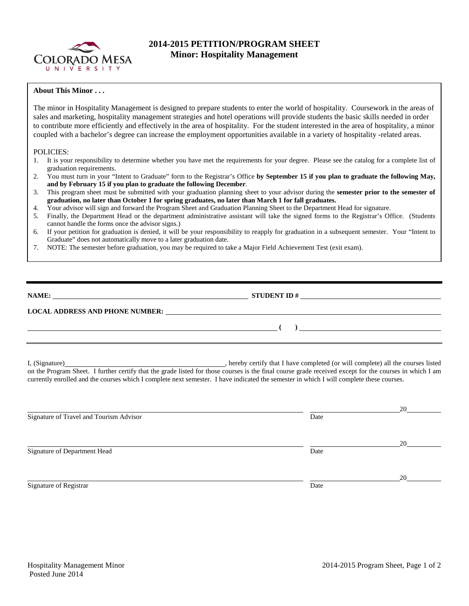

## **2014-2015 PETITION/PROGRAM SHEET Minor: Hospitality Management**

## **About This Minor . . .**

The minor in Hospitality Management is designed to prepare students to enter the world of hospitality. Coursework in the areas of sales and marketing, hospitality management strategies and hotel operations will provide students the basic skills needed in order to contribute more efficiently and effectively in the area of hospitality. For the student interested in the area of hospitality, a minor coupled with a bachelor's degree can increase the employment opportunities available in a variety of hospitality -related areas.

## POLICIES:

- 1. It is your responsibility to determine whether you have met the requirements for your degree. Please see the catalog for a complete list of graduation requirements.
- 2. You must turn in your "Intent to Graduate" form to the Registrar's Office **by September 15 if you plan to graduate the following May, and by February 15 if you plan to graduate the following December**.
- 3. This program sheet must be submitted with your graduation planning sheet to your advisor during the **semester prior to the semester of graduation, no later than October 1 for spring graduates, no later than March 1 for fall graduates.**
- 4. Your advisor will sign and forward the Program Sheet and Graduation Planning Sheet to the Department Head for signature.
- 5. Finally, the Department Head or the department administrative assistant will take the signed forms to the Registrar's Office. (Students cannot handle the forms once the advisor signs.)
- 6. If your petition for graduation is denied, it will be your responsibility to reapply for graduation in a subsequent semester. Your "Intent to Graduate" does not automatically move to a later graduation date.
- 7. NOTE: The semester before graduation, you may be required to take a Major Field Achievement Test (exit exam).

| NAME:                                  | <b>STUDENT ID#</b> |
|----------------------------------------|--------------------|
| <b>LOCAL ADDRESS AND PHONE NUMBER:</b> |                    |
|                                        |                    |

I, (Signature) , hereby certify that I have completed (or will complete) all the courses listed on the Program Sheet. I further certify that the grade listed for those courses is the final course grade received except for the courses in which I am currently enrolled and the courses which I complete next semester. I have indicated the semester in which I will complete these courses.

|                                         |      | 20 |
|-----------------------------------------|------|----|
| Signature of Travel and Tourism Advisor | Date |    |
|                                         |      |    |
|                                         |      | 20 |
| Signature of Department Head            | Date |    |
|                                         |      |    |
|                                         |      | 20 |
| Signature of Registrar                  | Date |    |
|                                         |      |    |